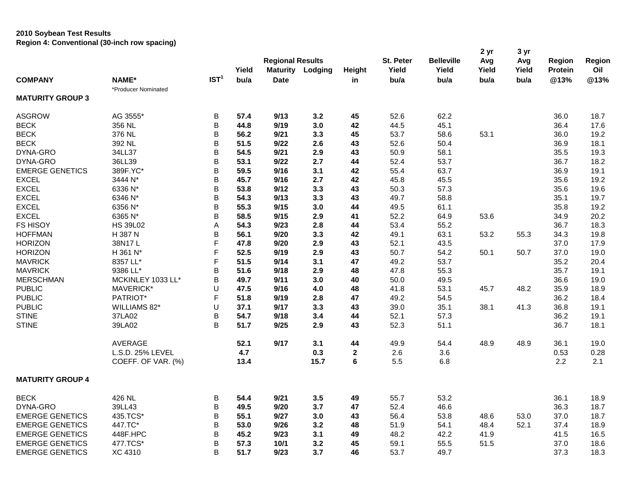## **2010 Soybean Test Results Region 4: Conventional (30-inch row spacing)**

| Region 4. Conventional (Jo-mon Tow Spacing) |                     |                  |       | <b>Regional Results</b> |         |             | St. Peter | <b>Belleville</b> | 2 yr<br>Avg | 3 yr<br>Avg | <b>Region</b>  | Region |
|---------------------------------------------|---------------------|------------------|-------|-------------------------|---------|-------------|-----------|-------------------|-------------|-------------|----------------|--------|
|                                             |                     |                  | Yield | <b>Maturity</b>         | Lodging | Height      | Yield     | Yield             | Yield       | Yield       | <b>Protein</b> | Oil    |
| <b>COMPANY</b>                              | <b>NAME*</b>        | IST <sup>1</sup> | bu/a  | <b>Date</b>             |         | in          | bu/a      | bu/a              | bu/a        | bu/a        | @13%           | @13%   |
|                                             | *Producer Nominated |                  |       |                         |         |             |           |                   |             |             |                |        |
| <b>MATURITY GROUP 3</b>                     |                     |                  |       |                         |         |             |           |                   |             |             |                |        |
| <b>ASGROW</b>                               | AG 3555*            | В                | 57.4  | 9/13                    | 3.2     | 45          | 52.6      | 62.2              |             |             | 36.0           | 18.7   |
| <b>BECK</b>                                 | 356 NL              | B                | 44.8  | 9/19                    | 3.0     | 42          | 44.5      | 45.1              |             |             | 36.4           | 17.6   |
| <b>BECK</b>                                 | 376 NL              | B                | 56.2  | 9/21                    | 3.3     | 45          | 53.7      | 58.6              | 53.1        |             | 36.0           | 19.2   |
| <b>BECK</b>                                 | 392 NL              | B                | 51.5  | 9/22                    | 2.6     | 43          | 52.6      | 50.4              |             |             | 36.9           | 18.1   |
| DYNA-GRO                                    | 34LL37              | B                | 54.5  | 9/21                    | 2.9     | 43          | 50.9      | 58.1              |             |             | 35.5           | 19.3   |
| DYNA-GRO                                    | 36LL39              | B                | 53.1  | 9/22                    | 2.7     | 44          | 52.4      | 53.7              |             |             | 36.7           | 18.2   |
| <b>EMERGE GENETICS</b>                      | 389F.YC*            | B                | 59.5  | 9/16                    | 3.1     | 42          | 55.4      | 63.7              |             |             | 36.9           | 19.1   |
| <b>EXCEL</b>                                | 3444 N*             | B                | 45.7  | 9/16                    | 2.7     | 42          | 45.8      | 45.5              |             |             | 35.6           | 19.2   |
| <b>EXCEL</b>                                | 6336 N*             | B                | 53.8  | 9/12                    | 3.3     | 43          | 50.3      | 57.3              |             |             | 35.6           | 19.6   |
| <b>EXCEL</b>                                | 6346 N*             | B                | 54.3  | 9/13                    | 3.3     | 43          | 49.7      | 58.8              |             |             | 35.1           | 19.7   |
| <b>EXCEL</b>                                | 6356 N*             | B                | 55.3  | 9/15                    | 3.0     | 44          | 49.5      | 61.1              |             |             | 35.8           | 19.2   |
| <b>EXCEL</b>                                | 6365 N*             | B                | 58.5  | 9/15                    | 2.9     | 41          | 52.2      | 64.9              | 53.6        |             | 34.9           | 20.2   |
| FS HISOY                                    | <b>HS 39L02</b>     | Α                | 54.3  | 9/23                    | 2.8     | 44          | 53.4      | 55.2              |             |             | 36.7           | 18.3   |
| <b>HOFFMAN</b>                              | H 387 N             | B                | 56.1  | 9/20                    | 3.3     | 42          | 49.1      | 63.1              | 53.2        | 55.3        | 34.3           | 19.8   |
| <b>HORIZON</b>                              | 38N17L              | F                | 47.8  | 9/20                    | 2.9     | 43          | 52.1      | 43.5              |             |             | 37.0           | 17.9   |
| <b>HORIZON</b>                              | H 361 N*            | F                | 52.5  | 9/19                    | 2.9     | 43          | 50.7      | 54.2              | 50.1        | 50.7        | 37.0           | 19.0   |
| <b>MAVRICK</b>                              | 8357 LL*            | F                | 51.5  | 9/14                    | 3.1     | 47          | 49.2      | 53.7              |             |             | 35.2           | 20.4   |
| <b>MAVRICK</b>                              | 9386 LL*            | B                | 51.6  | 9/18                    | 2.9     | 48          | 47.8      | 55.3              |             |             | 35.7           | 19.1   |
| <b>MERSCHMAN</b>                            | MCKINLEY 1033 LL*   | B                | 49.7  | 9/11                    | 3.0     | 40          | 50.0      | 49.5              |             |             | 36.6           | 19.0   |
| <b>PUBLIC</b>                               | MAVERICK*           | U                | 47.5  | 9/16                    | 4.0     | 48          | 41.8      | 53.1              | 45.7        | 48.2        | 35.9           | 18.9   |
| <b>PUBLIC</b>                               | PATRIOT*            | $\mathsf F$      | 51.8  | 9/19                    | 2.8     | 47          | 49.2      | 54.5              |             |             | 36.2           | 18.4   |
| <b>PUBLIC</b>                               | WILLIAMS 82*        | U                | 37.1  | 9/17                    | 3.3     | 43          | 39.0      | 35.1              | 38.1        | 41.3        | 36.8           | 19.1   |
| <b>STINE</b>                                | 37LA02              | B                | 54.7  | 9/18                    | 3.4     | 44          | 52.1      | 57.3              |             |             | 36.2           | 19.1   |
| <b>STINE</b>                                | 39LA02              | B                | 51.7  | 9/25                    | 2.9     | 43          | 52.3      | 51.1              |             |             | 36.7           | 18.1   |
|                                             | <b>AVERAGE</b>      |                  | 52.1  | 9/17                    | 3.1     | 44          | 49.9      | 54.4              | 48.9        | 48.9        | 36.1           | 19.0   |
|                                             | L.S.D. 25% LEVEL    |                  | 4.7   |                         | 0.3     | $\mathbf 2$ | 2.6       | 3.6               |             |             | 0.53           | 0.28   |
|                                             | COEFF. OF VAR. (%)  |                  | 13.4  |                         | 15.7    | 6           | 5.5       | 6.8               |             |             | 2.2            | 2.1    |
| <b>MATURITY GROUP 4</b>                     |                     |                  |       |                         |         |             |           |                   |             |             |                |        |
| <b>BECK</b>                                 | 426 NL              | B                | 54.4  | 9/21                    | 3.5     | 49          | 55.7      | 53.2              |             |             | 36.1           | 18.9   |
| DYNA-GRO                                    | 39LL43              | B                | 49.5  | 9/20                    | 3.7     | 47          | 52.4      | 46.6              |             |             | 36.3           | 18.7   |
| <b>EMERGE GENETICS</b>                      | 435.TCS*            | B                | 55.1  | 9/27                    | 3.0     | 43          | 56.4      | 53.8              | 48.6        | 53.0        | 37.0           | 18.7   |
| <b>EMERGE GENETICS</b>                      | 447.TC*             | B                | 53.0  | 9/26                    | 3.2     | 48          | 51.9      | 54.1              | 48.4        | 52.1        | 37.4           | 18.9   |
| <b>EMERGE GENETICS</b>                      | 448F.HPC            | B                | 45.2  | 9/23                    | 3.1     | 49          | 48.2      | 42.2              | 41.9        |             | 41.5           | 16.5   |
| <b>EMERGE GENETICS</b>                      | 477.TCS*            | B                | 57.3  | 10/1                    | 3.2     | 45          | 59.1      | 55.5              | 51.5        |             | 37.0           | 18.6   |
| <b>EMERGE GENETICS</b>                      | <b>XC 4310</b>      | B                | 51.7  | 9/23                    | 3.7     | 46          | 53.7      | 49.7              |             |             | 37.3           | 18.3   |